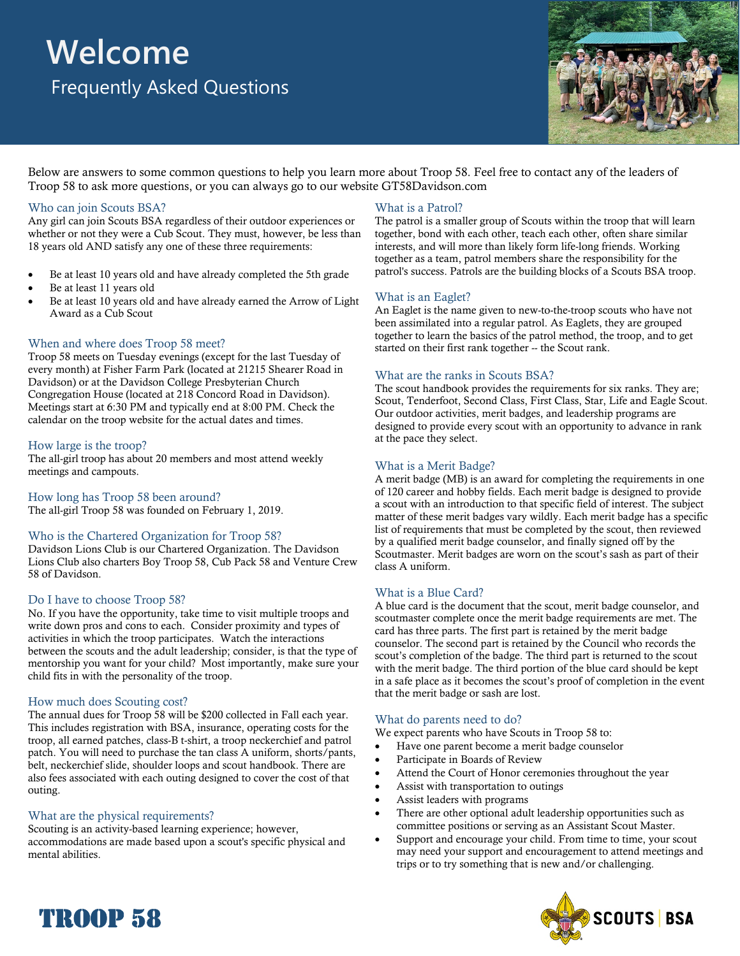# **Welcome** Frequently Asked Questions



Below are answers to some common questions to help you learn more about Troop 58. Feel free to contact any of the leaders of Troop 58 to ask more questions, or you can always go to our website GT58Davidson.com

### Who can join Scouts BSA?

Any girl can join Scouts BSA regardless of their outdoor experiences or whether or not they were a Cub Scout. They must, however, be less than 18 years old AND satisfy any one of these three requirements:

- Be at least 10 years old and have already completed the 5th grade
- Be at least 11 years old
- Be at least 10 years old and have already earned the Arrow of Light Award as a Cub Scout

# When and where does Troop 58 meet?

Troop 58 meets on Tuesday evenings (except for the last Tuesday of every month) at Fisher Farm Park (located at 21215 Shearer Road in Davidson) or at the Davidson College Presbyterian Church Congregation House (located at 218 Concord Road in Davidson). Meetings start at 6:30 PM and typically end at 8:00 PM. Check the calendar on the troop website for the actual dates and times.

# How large is the troop?

The all-girl troop has about 20 members and most attend weekly meetings and campouts.

How long has Troop 58 been around? The all-girl Troop 58 was founded on February 1, 2019.

# Who is the Chartered Organization for Troop 58?

Davidson Lions Club is our Chartered Organization. The Davidson Lions Club also charters Boy Troop 58, Cub Pack 58 and Venture Crew 58 of Davidson.

#### Do I have to choose Troop 58?

No. If you have the opportunity, take time to visit multiple troops and write down pros and cons to each. Consider proximity and types of activities in which the troop participates. Watch the interactions between the scouts and the adult leadership; consider, is that the type of mentorship you want for your child? Most importantly, make sure your child fits in with the personality of the troop.

#### How much does Scouting cost?

The annual dues for Troop 58 will be \$200 collected in Fall each year. This includes registration with BSA, insurance, operating costs for the troop, all earned patches, class-B t-shirt, a troop neckerchief and patrol patch. You will need to purchase the tan class A uniform, shorts/pants, belt, neckerchief slide, shoulder loops and scout handbook. There are also fees associated with each outing designed to cover the cost of that outing.

# What are the physical requirements?

TROOP 58

Scouting is an activity-based learning experience; however, accommodations are made based upon a scout's specific physical and mental abilities.

#### What is a Patrol?

The patrol is a smaller group of Scouts within the troop that will learn together, bond with each other, teach each other, often share similar interests, and will more than likely form life-long friends. Working together as a team, patrol members share the responsibility for the patrol's success. Patrols are the building blocks of a Scouts BSA troop.

#### What is an Eaglet?

An Eaglet is the name given to new-to-the-troop scouts who have not been assimilated into a regular patrol. As Eaglets, they are grouped together to learn the basics of the patrol method, the troop, and to get started on their first rank together -- the Scout rank.

# What are the ranks in Scouts BSA?

The scout handbook provides the requirements for six ranks. They are; Scout, Tenderfoot, Second Class, First Class, Star, Life and Eagle Scout. Our outdoor activities, merit badges, and leadership programs are designed to provide every scout with an opportunity to advance in rank at the pace they select.

# What is a Merit Badge?

A merit badge (MB) is an award for completing the requirements in one of 120 career and hobby fields. Each merit badge is designed to provide a scout with an introduction to that specific field of interest. The subject matter of these merit badges vary wildly. Each merit badge has a specific list of requirements that must be completed by the scout, then reviewed by a qualified merit badge counselor, and finally signed off by the Scoutmaster. Merit badges are worn on the scout's sash as part of their class A uniform.

#### What is a Blue Card?

A blue card is the document that the scout, merit badge counselor, and scoutmaster complete once the merit badge requirements are met. The card has three parts. The first part is retained by the merit badge counselor. The second part is retained by the Council who records the scout's completion of the badge. The third part is returned to the scout with the merit badge. The third portion of the blue card should be kept in a safe place as it becomes the scout's proof of completion in the event that the merit badge or sash are lost.

#### What do parents need to do?

We expect parents who have Scouts in Troop 58 to:

- Have one parent become a merit badge counselor
- Participate in Boards of Review
- Attend the Court of Honor ceremonies throughout the year
- Assist with transportation to outings
- Assist leaders with programs
- There are other optional adult leadership opportunities such as committee positions or serving as an Assistant Scout Master.
- Support and encourage your child. From time to time, your scout may need your support and encouragement to attend meetings and trips or to try something that is new and/or challenging.